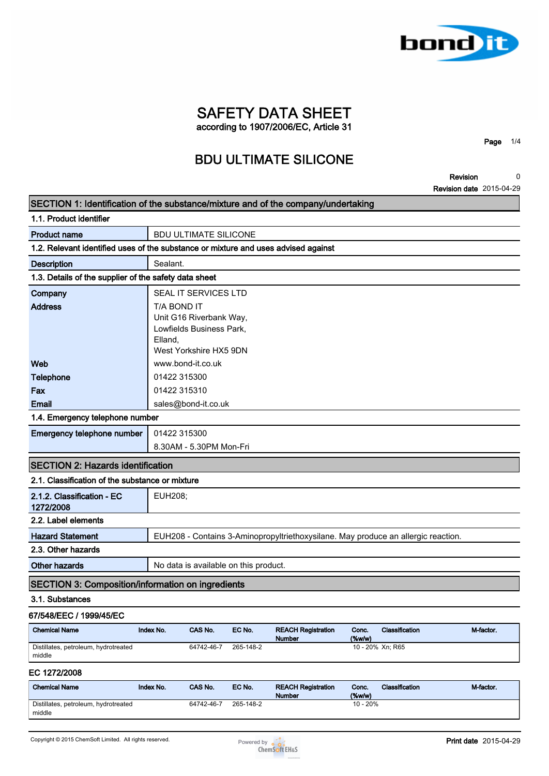

**Revision Revision date 2015-04-29 0**

**Page 1/4**

| SECTION 1: Identification of the substance/mixture and of the company/undertaking  |                |                              |                                       |                                            |                  |                                                                                   |           |
|------------------------------------------------------------------------------------|----------------|------------------------------|---------------------------------------|--------------------------------------------|------------------|-----------------------------------------------------------------------------------|-----------|
| 1.1. Product identifier                                                            |                |                              |                                       |                                            |                  |                                                                                   |           |
| <b>Product name</b>                                                                |                | <b>BDU ULTIMATE SILICONE</b> |                                       |                                            |                  |                                                                                   |           |
| 1.2. Relevant identified uses of the substance or mixture and uses advised against |                |                              |                                       |                                            |                  |                                                                                   |           |
| <b>Description</b>                                                                 | Sealant.       |                              |                                       |                                            |                  |                                                                                   |           |
| 1.3. Details of the supplier of the safety data sheet                              |                |                              |                                       |                                            |                  |                                                                                   |           |
| Company                                                                            |                | SEAL IT SERVICES LTD         |                                       |                                            |                  |                                                                                   |           |
| <b>Address</b>                                                                     | T/A BOND IT    |                              |                                       |                                            |                  |                                                                                   |           |
|                                                                                    |                | Unit G16 Riverbank Way,      |                                       |                                            |                  |                                                                                   |           |
|                                                                                    |                | Lowfields Business Park,     |                                       |                                            |                  |                                                                                   |           |
|                                                                                    | Elland,        | West Yorkshire HX5 9DN       |                                       |                                            |                  |                                                                                   |           |
| Web                                                                                |                | www.bond-it.co.uk            |                                       |                                            |                  |                                                                                   |           |
| <b>Telephone</b>                                                                   | 01422 315300   |                              |                                       |                                            |                  |                                                                                   |           |
| Fax                                                                                | 01422 315310   |                              |                                       |                                            |                  |                                                                                   |           |
| Email                                                                              |                | sales@bond-it.co.uk          |                                       |                                            |                  |                                                                                   |           |
| 1.4. Emergency telephone number                                                    |                |                              |                                       |                                            |                  |                                                                                   |           |
| Emergency telephone number                                                         | 01422 315300   |                              |                                       |                                            |                  |                                                                                   |           |
|                                                                                    |                | 8.30AM - 5.30PM Mon-Fri      |                                       |                                            |                  |                                                                                   |           |
| <b>SECTION 2: Hazards identification</b>                                           |                |                              |                                       |                                            |                  |                                                                                   |           |
| 2.1. Classification of the substance or mixture                                    |                |                              |                                       |                                            |                  |                                                                                   |           |
| 2.1.2. Classification - EC<br>1272/2008                                            | <b>EUH208;</b> |                              |                                       |                                            |                  |                                                                                   |           |
| 2.2. Label elements                                                                |                |                              |                                       |                                            |                  |                                                                                   |           |
| <b>Hazard Statement</b>                                                            |                |                              |                                       |                                            |                  | EUH208 - Contains 3-Aminopropyltriethoxysilane. May produce an allergic reaction. |           |
| 2.3. Other hazards                                                                 |                |                              |                                       |                                            |                  |                                                                                   |           |
| <b>Other hazards</b>                                                               |                |                              | No data is available on this product. |                                            |                  |                                                                                   |           |
| <b>SECTION 3: Composition/information on ingredients</b>                           |                |                              |                                       |                                            |                  |                                                                                   |           |
| 3.1. Substances                                                                    |                |                              |                                       |                                            |                  |                                                                                   |           |
| 67/548/EEC / 1999/45/EC                                                            |                |                              |                                       |                                            |                  |                                                                                   |           |
| <b>Chemical Name</b>                                                               | Index No.      | CAS No.                      | EC No.                                | <b>REACH Registration</b><br><b>Number</b> | Conc.<br>(%w/w)  | Classification                                                                    | M-factor. |
| Distillates, petroleum, hydrotreated<br>middle                                     |                | 64742-46-7                   | 265-148-2                             |                                            | 10 - 20% Xn; R65 |                                                                                   |           |
| EC 1272/2008                                                                       |                |                              |                                       |                                            |                  |                                                                                   |           |
| <b>Chemical Name</b>                                                               | Index No.      | CAS No.                      | EC No.                                | <b>REACH Registration</b>                  | Conc.            | Classification                                                                    | M-factor. |

**Distillates, petroleum, hydrotreated** 

**middle**



**64742-46-7 265-148-2 10 - 20%**

**Number**

 $\frac{(\%w/w)}{10 - 20\%}$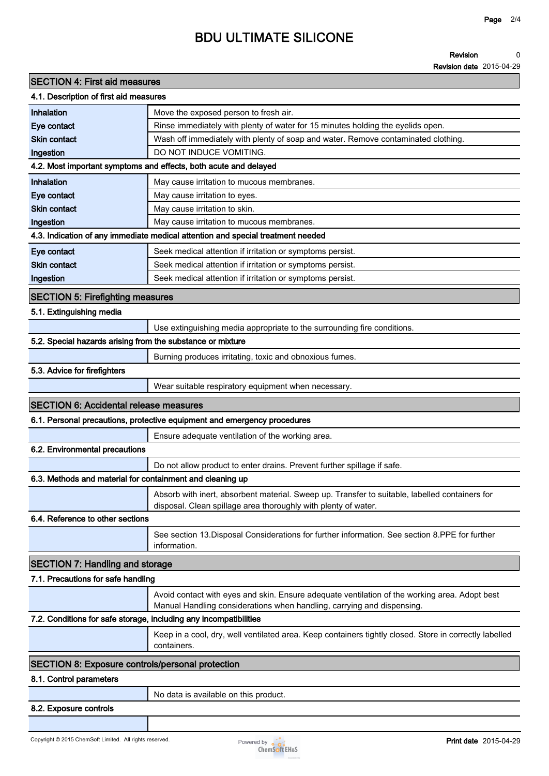#### **Revision 0**

**Revision date 2015-04-29**

| <b>SECTION 4: First aid measures</b>                              |                                                                                                                                                                         |  |  |
|-------------------------------------------------------------------|-------------------------------------------------------------------------------------------------------------------------------------------------------------------------|--|--|
| 4.1. Description of first aid measures                            |                                                                                                                                                                         |  |  |
| Inhalation                                                        | Move the exposed person to fresh air.                                                                                                                                   |  |  |
| Eye contact                                                       | Rinse immediately with plenty of water for 15 minutes holding the eyelids open.                                                                                         |  |  |
| <b>Skin contact</b>                                               | Wash off immediately with plenty of soap and water. Remove contaminated clothing.                                                                                       |  |  |
| Ingestion                                                         | DO NOT INDUCE VOMITING.                                                                                                                                                 |  |  |
|                                                                   | 4.2. Most important symptoms and effects, both acute and delayed                                                                                                        |  |  |
| <b>Inhalation</b>                                                 | May cause irritation to mucous membranes.                                                                                                                               |  |  |
| Eye contact                                                       | May cause irritation to eyes.                                                                                                                                           |  |  |
| <b>Skin contact</b>                                               | May cause irritation to skin.                                                                                                                                           |  |  |
| Ingestion                                                         | May cause irritation to mucous membranes.                                                                                                                               |  |  |
|                                                                   | 4.3. Indication of any immediate medical attention and special treatment needed                                                                                         |  |  |
| Eye contact                                                       | Seek medical attention if irritation or symptoms persist.                                                                                                               |  |  |
| <b>Skin contact</b>                                               | Seek medical attention if irritation or symptoms persist.                                                                                                               |  |  |
| Ingestion                                                         | Seek medical attention if irritation or symptoms persist.                                                                                                               |  |  |
| <b>SECTION 5: Firefighting measures</b>                           |                                                                                                                                                                         |  |  |
| 5.1. Extinguishing media                                          |                                                                                                                                                                         |  |  |
|                                                                   | Use extinguishing media appropriate to the surrounding fire conditions.                                                                                                 |  |  |
| 5.2. Special hazards arising from the substance or mixture        |                                                                                                                                                                         |  |  |
|                                                                   | Burning produces irritating, toxic and obnoxious fumes.                                                                                                                 |  |  |
| 5.3. Advice for firefighters                                      |                                                                                                                                                                         |  |  |
|                                                                   | Wear suitable respiratory equipment when necessary.                                                                                                                     |  |  |
| <b>SECTION 6: Accidental release measures</b>                     |                                                                                                                                                                         |  |  |
|                                                                   | 6.1. Personal precautions, protective equipment and emergency procedures                                                                                                |  |  |
|                                                                   | Ensure adequate ventilation of the working area.                                                                                                                        |  |  |
| 6.2. Environmental precautions                                    |                                                                                                                                                                         |  |  |
|                                                                   | Do not allow product to enter drains. Prevent further spillage if safe.                                                                                                 |  |  |
| 6.3. Methods and material for containment and cleaning up         |                                                                                                                                                                         |  |  |
|                                                                   | Absorb with inert, absorbent material. Sweep up. Transfer to suitable, labelled containers for<br>disposal. Clean spillage area thoroughly with plenty of water.        |  |  |
| 6.4. Reference to other sections                                  |                                                                                                                                                                         |  |  |
|                                                                   | See section 13. Disposal Considerations for further information. See section 8. PPE for further<br>information.                                                         |  |  |
| <b>SECTION 7: Handling and storage</b>                            |                                                                                                                                                                         |  |  |
| 7.1. Precautions for safe handling                                |                                                                                                                                                                         |  |  |
|                                                                   | Avoid contact with eyes and skin. Ensure adequate ventilation of the working area. Adopt best<br>Manual Handling considerations when handling, carrying and dispensing. |  |  |
| 7.2. Conditions for safe storage, including any incompatibilities |                                                                                                                                                                         |  |  |
|                                                                   | Keep in a cool, dry, well ventilated area. Keep containers tightly closed. Store in correctly labelled<br>containers.                                                   |  |  |
| <b>SECTION 8: Exposure controls/personal protection</b>           |                                                                                                                                                                         |  |  |
| 8.1. Control parameters                                           |                                                                                                                                                                         |  |  |
|                                                                   |                                                                                                                                                                         |  |  |
|                                                                   | No data is available on this product.                                                                                                                                   |  |  |
| 8.2. Exposure controls                                            |                                                                                                                                                                         |  |  |

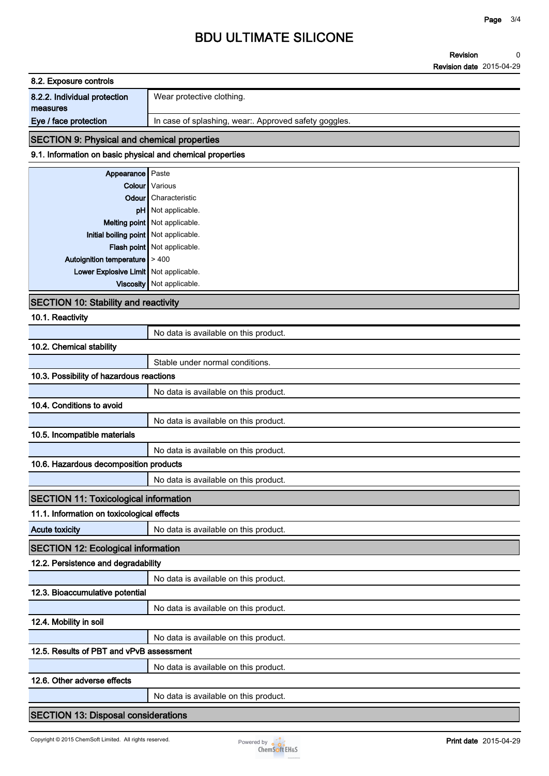**Revision Revision date 2015-04-29 0**

| 8.2. Exposure controls       |                                                      |  |
|------------------------------|------------------------------------------------------|--|
| 8.2.2. Individual protection | Wear protective clothing.                            |  |
| measures                     |                                                      |  |
| Eye / face protection        | In case of splashing, wear: Approved safety goggles. |  |
|                              |                                                      |  |

#### **SECTION 9: Physical and chemical properties**

### **9.1. Information on basic physical and chemical properties**

| <b>Appearance</b> Paste                 |                               |
|-----------------------------------------|-------------------------------|
|                                         | Colour Various                |
|                                         | <b>Odour</b> Characteristic   |
|                                         | pH Not applicable.            |
|                                         | Melting point Not applicable. |
| Initial boiling point Not applicable.   |                               |
|                                         | Flash point Not applicable.   |
| Autoignition temperature $\vert$ > 400  |                               |
| Lower Explosive Limit   Not applicable. |                               |
|                                         | Viscosity   Not applicable.   |
|                                         |                               |

#### **SECTION 10: Stability and reactivity**

**10.1. Reactivity**

|                                              | No data is available on this product. |  |
|----------------------------------------------|---------------------------------------|--|
| 10.2. Chemical stability                     |                                       |  |
|                                              | Stable under normal conditions.       |  |
| 10.3. Possibility of hazardous reactions     |                                       |  |
|                                              | No data is available on this product. |  |
| 10.4. Conditions to avoid                    |                                       |  |
|                                              | No data is available on this product. |  |
| 10.5. Incompatible materials                 |                                       |  |
|                                              | No data is available on this product. |  |
| 10.6. Hazardous decomposition products       |                                       |  |
|                                              | No data is available on this product. |  |
| <b>SECTION 11: Toxicological information</b> |                                       |  |
| 11.1. Information on toxicological effects   |                                       |  |
| <b>Acute toxicity</b>                        | No data is available on this product. |  |
| <b>SECTION 12: Ecological information</b>    |                                       |  |
| 12.2. Persistence and degradability          |                                       |  |
|                                              | No data is available on this product. |  |
| 12.3. Bioaccumulative potential              |                                       |  |
|                                              | No data is available on this product. |  |
| 12.4. Mobility in soil                       |                                       |  |
|                                              | No data is available on this product. |  |
| 12.5. Results of PBT and vPvB assessment     |                                       |  |
|                                              | No data is available on this product. |  |
| 12.6. Other adverse effects                  |                                       |  |
|                                              | No data is available on this product. |  |
| <b>SECTION 13: Disposal considerations</b>   |                                       |  |